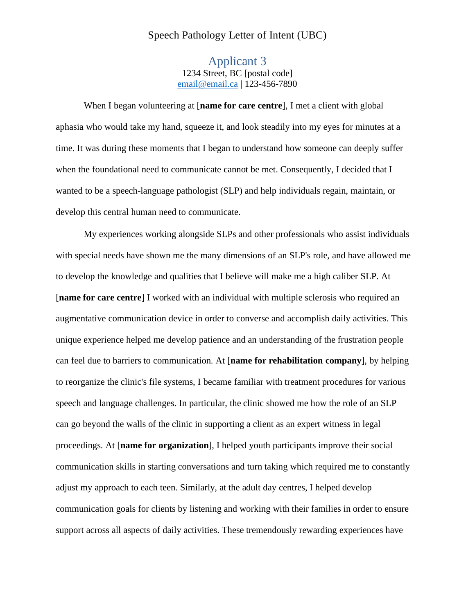## Speech Pathology Letter of Intent (UBC)

Applicant 3 1234 Street, BC [postal code] email@email.ca | 123-456-7890

When I began volunteering at [**name for care centre**], I met a client with global aphasia who would take my hand, squeeze it, and look steadily into my eyes for minutes at a time. It was during these moments that I began to understand how someone can deeply suffer when the foundational need to communicate cannot be met. Consequently, I decided that I wanted to be a speech-language pathologist (SLP) and help individuals regain, maintain, or develop this central human need to communicate.

My experiences working alongside SLPs and other professionals who assist individuals with special needs have shown me the many dimensions of an SLP's role, and have allowed me to develop the knowledge and qualities that I believe will make me a high caliber SLP. At [**name for care centre**] I worked with an individual with multiple sclerosis who required an augmentative communication device in order to converse and accomplish daily activities. This unique experience helped me develop patience and an understanding of the frustration people can feel due to barriers to communication. At [**name for rehabilitation company**], by helping to reorganize the clinic's file systems, I became familiar with treatment procedures for various speech and language challenges. In particular, the clinic showed me how the role of an SLP can go beyond the walls of the clinic in supporting a client as an expert witness in legal proceedings. At [**name for organization**], I helped youth participants improve their social communication skills in starting conversations and turn taking which required me to constantly adjust my approach to each teen. Similarly, at the adult day centres, I helped develop communication goals for clients by listening and working with their families in order to ensure support across all aspects of daily activities. These tremendously rewarding experiences have